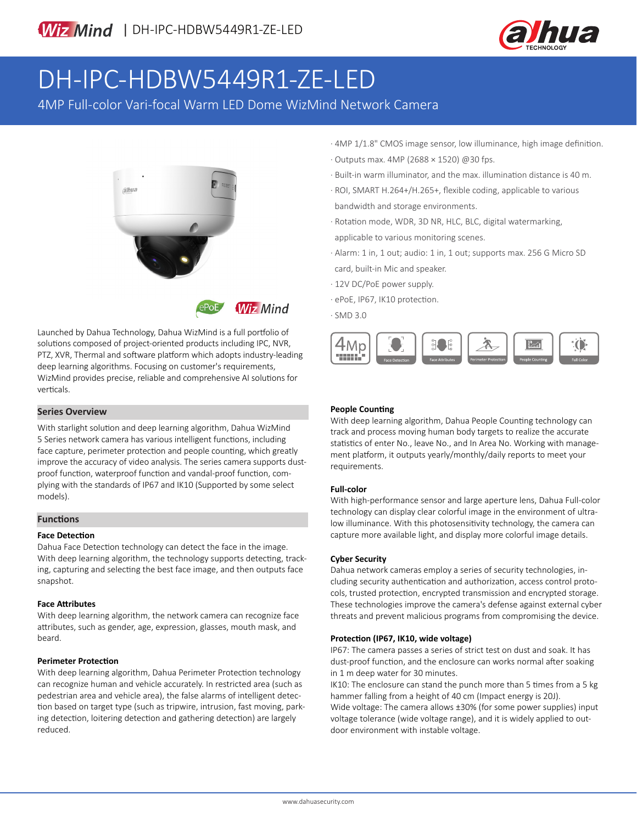

# DH-IPC-HDBW5449R1-ZE-LED

4MP Full-color Vari-focal Warm LED Dome WizMind Network Camera





Launched by Dahua Technology, Dahua WizMind is a full portfolio of solutions composed of project-oriented products including IPC, NVR, PTZ, XVR, Thermal and software platform which adopts industry-leading deep learning algorithms. Focusing on customer's requirements, WizMind provides precise, reliable and comprehensive AI solutions for verticals.

### **Series Overview**

With starlight solution and deep learning algorithm, Dahua WizMind 5 Series network camera has various intelligent functions, including face capture, perimeter protection and people counting, which greatly improve the accuracy of video analysis. The series camera supports dustproof function, waterproof function and vandal-proof function, complying with the standards of IP67 and IK10 (Supported by some select models).

#### **Functions**

#### **Face Detection**

Dahua Face Detection technology can detect the face in the image. With deep learning algorithm, the technology supports detecting, tracking, capturing and selecting the best face image, and then outputs face snapshot.

#### **Face Attributes**

With deep learning algorithm, the network camera can recognize face attributes, such as gender, age, expression, glasses, mouth mask, and beard.

#### **Perimeter Protection**

With deep learning algorithm, Dahua Perimeter Protection technology can recognize human and vehicle accurately. In restricted area (such as pedestrian area and vehicle area), the false alarms of intelligent detection based on target type (such as tripwire, intrusion, fast moving, parking detection, loitering detection and gathering detection) are largely reduced.

- · 4MP 1/1.8" CMOS image sensor, low illuminance, high image definition.
- · Outputs max. 4MP (2688 × 1520) @30 fps.
- · Built-in warm illuminator, and the max. illumination distance is 40 m.
- · ROI, SMART H.264+/H.265+, flexible coding, applicable to various bandwidth and storage environments.
- · Rotation mode, WDR, 3D NR, HLC, BLC, digital watermarking, applicable to various monitoring scenes.
- · Alarm: 1 in, 1 out; audio: 1 in, 1 out; supports max. 256 G Micro SD card, built-in Mic and speaker.
- · 12V DC/PoE power supply.
- · ePoE, IP67, IK10 protection.
- · SMD 3.0



### **People Counting**

With deep learning algorithm, Dahua People Counting technology can track and process moving human body targets to realize the accurate statistics of enter No., leave No., and In Area No. Working with management platform, it outputs yearly/monthly/daily reports to meet your requirements.

#### **Full-color**

With high-performance sensor and large aperture lens, Dahua Full-color technology can display clear colorful image in the environment of ultralow illuminance. With this photosensitivity technology, the camera can capture more available light, and display more colorful image details.

#### **Cyber Security**

Dahua network cameras employ a series of security technologies, including security authentication and authorization, access control protocols, trusted protection, encrypted transmission and encrypted storage. These technologies improve the camera's defense against external cyber threats and prevent malicious programs from compromising the device.

### **Protection (IP67, IK10, wide voltage)**

IP67: The camera passes a series of strict test on dust and soak. It has dust-proof function, and the enclosure can works normal after soaking in 1 m deep water for 30 minutes.

IK10: The enclosure can stand the punch more than 5 times from a 5 kg hammer falling from a height of 40 cm (Impact energy is 20J).

Wide voltage: The camera allows ±30% (for some power supplies) input voltage tolerance (wide voltage range), and it is widely applied to outdoor environment with instable voltage.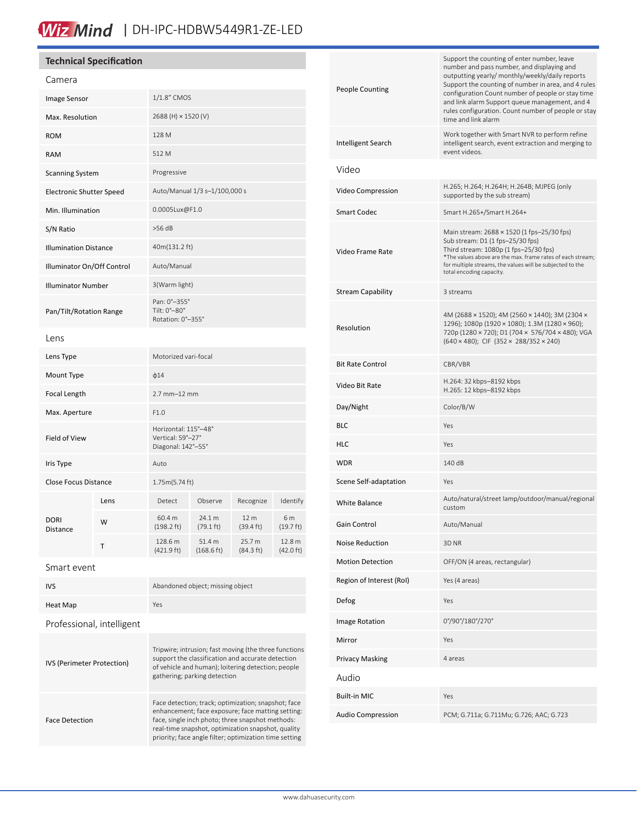# Wiz Mind | DH-IPC-HDBW5449R1-ZE-LED

# **Technical Specification**

| Camera                          |      |                                                                 |                                |                                        |                               |
|---------------------------------|------|-----------------------------------------------------------------|--------------------------------|----------------------------------------|-------------------------------|
| Image Sensor                    |      | 1/1.8" CMOS                                                     |                                |                                        |                               |
| Max. Resolution                 |      | 2688 (H) × 1520 (V)                                             |                                |                                        |                               |
| <b>ROM</b>                      |      | 128 M                                                           |                                |                                        |                               |
| <b>RAM</b>                      |      | 512 M                                                           |                                |                                        |                               |
| <b>Scanning System</b>          |      | Progressive                                                     |                                |                                        |                               |
| <b>Electronic Shutter Speed</b> |      | Auto/Manual 1/3 s-1/100,000 s                                   |                                |                                        |                               |
| Min. Illumination               |      | 0.0005Lux@F1.0                                                  |                                |                                        |                               |
| S/N Ratio                       |      | >56 dB                                                          |                                |                                        |                               |
| <b>Illumination Distance</b>    |      | 40m(131.2 ft)                                                   |                                |                                        |                               |
| Illuminator On/Off Control      |      | Auto/Manual                                                     |                                |                                        |                               |
| <b>Illuminator Number</b>       |      | 3(Warm light)                                                   |                                |                                        |                               |
| Pan/Tilt/Rotation Range         |      | Pan: 0°-355°<br>Tilt: 0°-80°<br>Rotation: 0°-355°               |                                |                                        |                               |
| Lens                            |      |                                                                 |                                |                                        |                               |
| Lens Type                       |      | Motorized vari-focal                                            |                                |                                        |                               |
| Mount Type                      |      | $\phi$ 14                                                       |                                |                                        |                               |
| Focal Length                    |      | 2.7 mm-12 mm                                                    |                                |                                        |                               |
| Max. Aperture                   |      | F1.0                                                            |                                |                                        |                               |
| Field of View                   |      | Horizontal: 115°-48°<br>Vertical: 59°-27°<br>Diagonal: 142°-55° |                                |                                        |                               |
| Iris Type                       |      | Auto                                                            |                                |                                        |                               |
| <b>Close Focus Distance</b>     |      | 1.75m(5.74 ft)                                                  |                                |                                        |                               |
| <b>DORI</b><br>Distance         | Lens | Detect                                                          | Observe                        | Recognize                              | Identify                      |
|                                 | W    | 60.4 m<br>$(198.2 \text{ ft})$                                  | 24.1 m<br>$(79.1 \text{ ft})$  | 12 <sub>m</sub><br>$(39.4 \text{ ft})$ | 6 m<br>$(19.7 \text{ ft})$    |
|                                 | т    | 128.6 m<br>$(421.9 \text{ ft})$                                 | 51.4 m<br>$(168.6 \text{ ft})$ | 25.7 m<br>(84.3 ft)                    | 12.8 m<br>$(42.0 \text{ ft})$ |
| Smart event                     |      |                                                                 |                                |                                        |                               |

| <b>IVS</b>                 | Abandoned object; missing object                                                                                                                                                                                                                                             |
|----------------------------|------------------------------------------------------------------------------------------------------------------------------------------------------------------------------------------------------------------------------------------------------------------------------|
| Heat Map                   | Yes                                                                                                                                                                                                                                                                          |
| Professional, intelligent  |                                                                                                                                                                                                                                                                              |
| IVS (Perimeter Protection) | Tripwire; intrusion; fast moving (the three functions<br>support the classification and accurate detection<br>of vehicle and human); loitering detection; people<br>gathering; parking detection                                                                             |
| <b>Face Detection</b>      | Face detection; track; optimization; snapshot; face<br>enhancement; face exposure; face matting setting:<br>face, single inch photo; three snapshot methods:<br>real-time snapshot, optimization snapshot, quality<br>priority; face angle filter; optimization time setting |

| <b>People Counting</b>   | Support the counting of enter number, leave<br>number and pass number, and displaying and<br>outputting yearly/ monthly/weekly/daily reports<br>Support the counting of number in area, and 4 rules<br>configuration Count number of people or stay time<br>and link alarm Support queue management, and 4<br>rules configuration. Count number of people or stay<br>time and link alarm |  |  |
|--------------------------|------------------------------------------------------------------------------------------------------------------------------------------------------------------------------------------------------------------------------------------------------------------------------------------------------------------------------------------------------------------------------------------|--|--|
| Intelligent Search       | Work together with Smart NVR to perform refine<br>intelligent search, event extraction and merging to<br>event videos.                                                                                                                                                                                                                                                                   |  |  |
| Video                    |                                                                                                                                                                                                                                                                                                                                                                                          |  |  |
| Video Compression        | H.265; H.264; H.264H; H.264B; MJPEG (only<br>supported by the sub stream)                                                                                                                                                                                                                                                                                                                |  |  |
| Smart Codec              | Smart H.265+/Smart H.264+                                                                                                                                                                                                                                                                                                                                                                |  |  |
| Video Frame Rate         | Main stream: 2688 × 1520 (1 fps-25/30 fps)<br>Sub stream: D1 (1 fps-25/30 fps)<br>Third stream: 1080p (1 fps-25/30 fps)<br>*The values above are the max. frame rates of each stream;<br>for multiple streams, the values will be subjected to the<br>total encoding capacity.                                                                                                           |  |  |
| Stream Capability        | 3 streams                                                                                                                                                                                                                                                                                                                                                                                |  |  |
| Resolution               | 4M (2688 × 1520); 4M (2560 × 1440); 3M (2304 ×<br>1296); 1080p (1920 × 1080); 1.3M (1280 × 960);<br>720p (1280 × 720); D1 (704 × 576/704 × 480); VGA<br>$(640 \times 480)$ ; CIF $(352 \times 288/352 \times 240)$                                                                                                                                                                       |  |  |
| <b>Bit Rate Control</b>  | CBR/VBR                                                                                                                                                                                                                                                                                                                                                                                  |  |  |
| Video Bit Rate           | H.264: 32 kbps-8192 kbps<br>H.265: 12 kbps-8192 kbps                                                                                                                                                                                                                                                                                                                                     |  |  |
| Day/Night                | Color/B/W                                                                                                                                                                                                                                                                                                                                                                                |  |  |
| BLC                      | Yes                                                                                                                                                                                                                                                                                                                                                                                      |  |  |
| HLC                      | Yes                                                                                                                                                                                                                                                                                                                                                                                      |  |  |
| WDR                      | 140 dB                                                                                                                                                                                                                                                                                                                                                                                   |  |  |
| Scene Self-adaptation    | Yes                                                                                                                                                                                                                                                                                                                                                                                      |  |  |
| White Balance            | Auto/natural/street lamp/outdoor/manual/regional<br>custom                                                                                                                                                                                                                                                                                                                               |  |  |
| Gain Control             | Auto/Manual                                                                                                                                                                                                                                                                                                                                                                              |  |  |
| <b>Noise Reduction</b>   | 3D <sub>NR</sub>                                                                                                                                                                                                                                                                                                                                                                         |  |  |
| <b>Motion Detection</b>  | OFF/ON (4 areas, rectangular)                                                                                                                                                                                                                                                                                                                                                            |  |  |
| Region of Interest (RoI) | Yes (4 areas)                                                                                                                                                                                                                                                                                                                                                                            |  |  |
| Defog                    | Yes                                                                                                                                                                                                                                                                                                                                                                                      |  |  |
| Image Rotation           | 0°/90°/180°/270°                                                                                                                                                                                                                                                                                                                                                                         |  |  |
| Mirror                   | Yes                                                                                                                                                                                                                                                                                                                                                                                      |  |  |
| Privacy Masking          | 4 areas                                                                                                                                                                                                                                                                                                                                                                                  |  |  |
| Audio                    |                                                                                                                                                                                                                                                                                                                                                                                          |  |  |
| Built-in MIC             | Yes                                                                                                                                                                                                                                                                                                                                                                                      |  |  |
| Audio Compression        | PCM; G.711a; G.711Mu; G.726; AAC; G.723                                                                                                                                                                                                                                                                                                                                                  |  |  |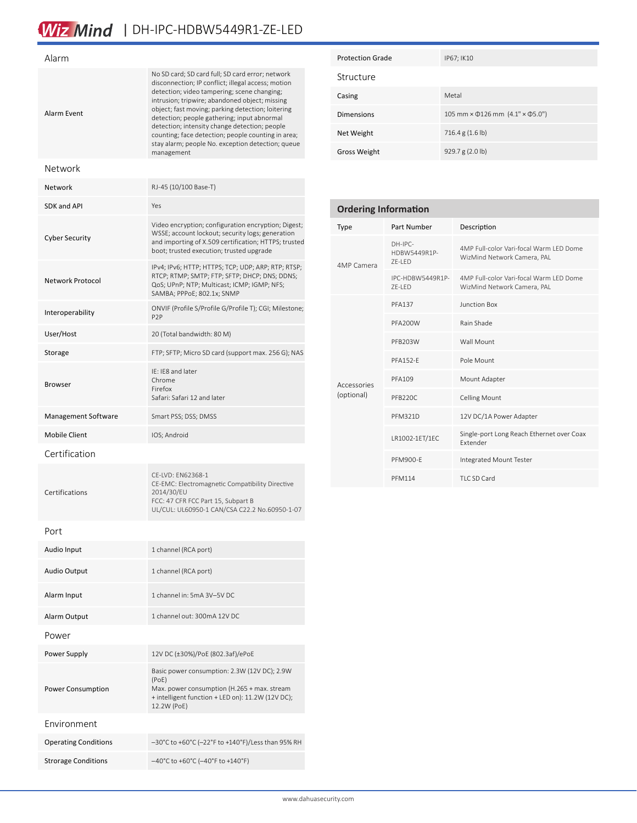# Wiz Mind | DH-IPC-HDBW5449R1-ZE-LED

| Alarm                       |                                                                                                                                                                                                                                                                                                                                                                                                                                                                                       |  |
|-----------------------------|---------------------------------------------------------------------------------------------------------------------------------------------------------------------------------------------------------------------------------------------------------------------------------------------------------------------------------------------------------------------------------------------------------------------------------------------------------------------------------------|--|
| Alarm Event                 | No SD card; SD card full; SD card error; network<br>disconnection; IP conflict; illegal access; motion<br>detection; video tampering; scene changing;<br>intrusion; tripwire; abandoned object; missing<br>object; fast moving; parking detection; loitering<br>detection; people gathering; input abnormal<br>detection; intensity change detection; people<br>counting; face detection; people counting in area;<br>stay alarm; people No. exception detection; queue<br>management |  |
| Network                     |                                                                                                                                                                                                                                                                                                                                                                                                                                                                                       |  |
| Network                     | RJ-45 (10/100 Base-T)                                                                                                                                                                                                                                                                                                                                                                                                                                                                 |  |
| SDK and API                 | Yes                                                                                                                                                                                                                                                                                                                                                                                                                                                                                   |  |
| <b>Cyber Security</b>       | Video encryption; configuration encryption; Digest;<br>WSSE; account lockout; security logs; generation<br>and importing of X.509 certification; HTTPS; trusted<br>boot; trusted execution; trusted upgrade                                                                                                                                                                                                                                                                           |  |
| Network Protocol            | IPv4; IPv6; HTTP; HTTPS; TCP; UDP; ARP; RTP; RTSP;<br>RTCP; RTMP; SMTP; FTP; SFTP; DHCP; DNS; DDNS;<br>QoS; UPnP; NTP; Multicast; ICMP; IGMP; NFS;<br>SAMBA; PPPoE; 802.1x; SNMP                                                                                                                                                                                                                                                                                                      |  |
| Interoperability            | ONVIF (Profile S/Profile G/Profile T); CGI; Milestone;<br>P <sub>2</sub> P                                                                                                                                                                                                                                                                                                                                                                                                            |  |
| User/Host                   | 20 (Total bandwidth: 80 M)                                                                                                                                                                                                                                                                                                                                                                                                                                                            |  |
| Storage                     | FTP; SFTP; Micro SD card (support max. 256 G); NAS                                                                                                                                                                                                                                                                                                                                                                                                                                    |  |
| <b>Browser</b>              | IE: IE8 and later<br>Chrome<br>Firefox<br>Safari: Safari 12 and later                                                                                                                                                                                                                                                                                                                                                                                                                 |  |
| Management Software         | Smart PSS; DSS; DMSS                                                                                                                                                                                                                                                                                                                                                                                                                                                                  |  |
| <b>Mobile Client</b>        | IOS; Android                                                                                                                                                                                                                                                                                                                                                                                                                                                                          |  |
| Certification               |                                                                                                                                                                                                                                                                                                                                                                                                                                                                                       |  |
| Certifications              | CE-LVD: EN62368-1<br>CE-EMC: Electromagnetic Compatibility Directive<br>2014/30/EU<br>FCC: 47 CFR FCC Part 15, Subpart B<br>UL/CUL: UL60950-1 CAN/CSA C22.2 No.60950-1-07                                                                                                                                                                                                                                                                                                             |  |
| Port                        |                                                                                                                                                                                                                                                                                                                                                                                                                                                                                       |  |
| Audio Input                 | 1 channel (RCA port)                                                                                                                                                                                                                                                                                                                                                                                                                                                                  |  |
| <b>Audio Output</b>         | 1 channel (RCA port)                                                                                                                                                                                                                                                                                                                                                                                                                                                                  |  |
| Alarm Input                 | 1 channel in: 5mA 3V-5V DC                                                                                                                                                                                                                                                                                                                                                                                                                                                            |  |
| Alarm Output                | 1 channel out: 300mA 12V DC                                                                                                                                                                                                                                                                                                                                                                                                                                                           |  |
| Power                       |                                                                                                                                                                                                                                                                                                                                                                                                                                                                                       |  |
| Power Supply                | 12V DC (±30%)/PoE (802.3af)/ePoE                                                                                                                                                                                                                                                                                                                                                                                                                                                      |  |
| Power Consumption           | Basic power consumption: 2.3W (12V DC); 2.9W<br>(PoE)<br>Max. power consumption (H.265 + max. stream<br>+ intelligent function + LED on): 11.2W (12V DC);<br>12.2W (PoE)                                                                                                                                                                                                                                                                                                              |  |
| Fnvironment                 |                                                                                                                                                                                                                                                                                                                                                                                                                                                                                       |  |
| <b>Operating Conditions</b> | -30°C to +60°C (-22°F to +140°F)/Less than 95% RH                                                                                                                                                                                                                                                                                                                                                                                                                                     |  |
| <b>Strorage Conditions</b>  | $-40^{\circ}$ C to +60 $^{\circ}$ C (-40 $^{\circ}$ F to +140 $^{\circ}$ F)                                                                                                                                                                                                                                                                                                                                                                                                           |  |

| <b>Protection Grade</b> | IP67; IK10                                              |
|-------------------------|---------------------------------------------------------|
| Structure               |                                                         |
| Casing                  | Metal                                                   |
| <b>Dimensions</b>       | 105 mm $\times$ $\phi$ 126 mm $(4.1" \times \phi$ 5.0") |
| Net Weight              | 716.4 g (1.6 lb)                                        |
| <b>Gross Weight</b>     | 929.7 $g(2.0 \text{ lb})$                               |

| <b>Ordering Information</b> |                                     |                                                                        |  |  |
|-----------------------------|-------------------------------------|------------------------------------------------------------------------|--|--|
| Type                        | Part Number                         | Description                                                            |  |  |
| 4MP Camera                  | $DH-IPC-$<br>HDBW5449R1P-<br>ZE-LED | 4MP Full-color Vari-focal Warm LED Dome<br>WizMind Network Camera, PAL |  |  |
|                             | IPC-HDBW5449R1P-<br><b>7F-LED</b>   | 4MP Full-color Vari-focal Warm LED Dome<br>WizMind Network Camera, PAL |  |  |
|                             | <b>PFA137</b>                       | Junction Box                                                           |  |  |
|                             | PFA200W                             | Rain Shade                                                             |  |  |
|                             | PFB203W                             | Wall Mount                                                             |  |  |
|                             | <b>PFA152-F</b>                     | Pole Mount                                                             |  |  |
| Accessories                 | <b>PFA109</b>                       | Mount Adapter                                                          |  |  |
| (optional)                  | PFB220C                             | <b>Celling Mount</b>                                                   |  |  |
|                             | PFM321D                             | 12V DC/1A Power Adapter                                                |  |  |
|                             | LR1002-1ET/1EC                      | Single-port Long Reach Ethernet over Coax<br><b>Fxtender</b>           |  |  |
|                             | <b>PFM900-F</b>                     | Integrated Mount Tester                                                |  |  |
|                             | <b>PFM114</b>                       | TLC SD Card                                                            |  |  |